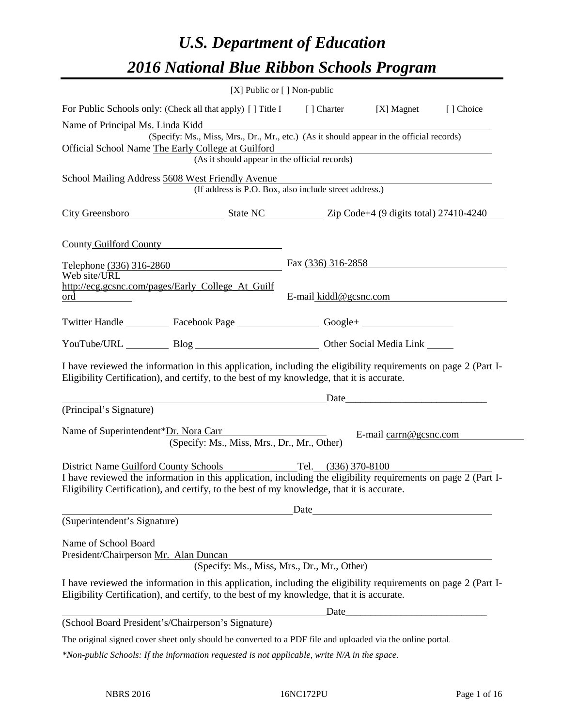# *U.S. Department of Education 2016 National Blue Ribbon Schools Program*

|                                                                                                                                                                                                              | [X] Public or [] Non-public |                                                                                                                                                                                                                                |            |
|--------------------------------------------------------------------------------------------------------------------------------------------------------------------------------------------------------------|-----------------------------|--------------------------------------------------------------------------------------------------------------------------------------------------------------------------------------------------------------------------------|------------|
| For Public Schools only: (Check all that apply) [] Title I [] Charter [X] Magnet                                                                                                                             |                             |                                                                                                                                                                                                                                | [ ] Choice |
| Name of Principal Ms. Linda Kidd<br>(Specify: Ms., Miss, Mrs., Dr., Mr., etc.) (As it should appear in the official records)                                                                                 |                             |                                                                                                                                                                                                                                |            |
| Official School Name The Early College at Guilford<br>(As it should appear in the official records)                                                                                                          |                             |                                                                                                                                                                                                                                |            |
| School Mailing Address 5608 West Friendly Avenue<br>est Friendly Avenue<br>(If address is P.O. Box, also include street address.)                                                                            |                             |                                                                                                                                                                                                                                |            |
| City Greensboro State NC Zip Code+4 (9 digits total) 27410-4240                                                                                                                                              |                             |                                                                                                                                                                                                                                |            |
| County Guilford County                                                                                                                                                                                       |                             |                                                                                                                                                                                                                                |            |
| Telephone (336) 316-2860<br>Web site/URL                                                                                                                                                                     |                             | Fax $(336)$ 316-2858                                                                                                                                                                                                           |            |
| http://ecg.gcsnc.com/pages/Early_College_At_Guilf                                                                                                                                                            |                             | E-mail kiddl@gcsnc.com                                                                                                                                                                                                         |            |
| Twitter Handle ___________ Facebook Page ___________________ Google+ ____________                                                                                                                            |                             |                                                                                                                                                                                                                                |            |
| YouTube/URL Blog Blog Discount Other Social Media Link                                                                                                                                                       |                             |                                                                                                                                                                                                                                |            |
| I have reviewed the information in this application, including the eligibility requirements on page 2 (Part I-<br>Eligibility Certification), and certify, to the best of my knowledge, that it is accurate. |                             |                                                                                                                                                                                                                                |            |
| <u>Date</u> Date <u>Date</u><br>(Principal's Signature)                                                                                                                                                      |                             |                                                                                                                                                                                                                                |            |
| Name of Superintendent*Dr. Nora Carr<br>(Specify: Ms., Miss, Mrs., Dr., Mr., Other)                                                                                                                          |                             | E-mail carrn@gcsnc.com                                                                                                                                                                                                         |            |
| District Name Guilford County Schools                                                                                                                                                                        | Tel. (336) 370-8100         |                                                                                                                                                                                                                                |            |
| I have reviewed the information in this application, including the eligibility requirements on page 2 (Part I-<br>Eligibility Certification), and certify, to the best of my knowledge, that it is accurate. |                             |                                                                                                                                                                                                                                |            |
|                                                                                                                                                                                                              | Date                        | <u> 1980 - Johann Barn, mars eta bainar eta baina eta baina eta baina eta baina eta baina eta baina eta baina e</u>                                                                                                            |            |
| (Superintendent's Signature)                                                                                                                                                                                 |                             |                                                                                                                                                                                                                                |            |
| Name of School Board<br>President/Chairperson Mr. Alan Duncan<br>(Specify: Ms., Miss, Mrs., Dr., Mr., Other)                                                                                                 |                             |                                                                                                                                                                                                                                |            |
| I have reviewed the information in this application, including the eligibility requirements on page 2 (Part I-<br>Eligibility Certification), and certify, to the best of my knowledge, that it is accurate. |                             |                                                                                                                                                                                                                                |            |
|                                                                                                                                                                                                              |                             | Date and the contract of the contract of the contract of the contract of the contract of the contract of the contract of the contract of the contract of the contract of the contract of the contract of the contract of the c |            |
| (School Board President's/Chairperson's Signature)                                                                                                                                                           |                             |                                                                                                                                                                                                                                |            |
| The original signed cover sheet only should be converted to a PDF file and uploaded via the online portal.                                                                                                   |                             |                                                                                                                                                                                                                                |            |
| $*$ Non-public Schools: If the information requested is not applicable, write N/A in the space.                                                                                                              |                             |                                                                                                                                                                                                                                |            |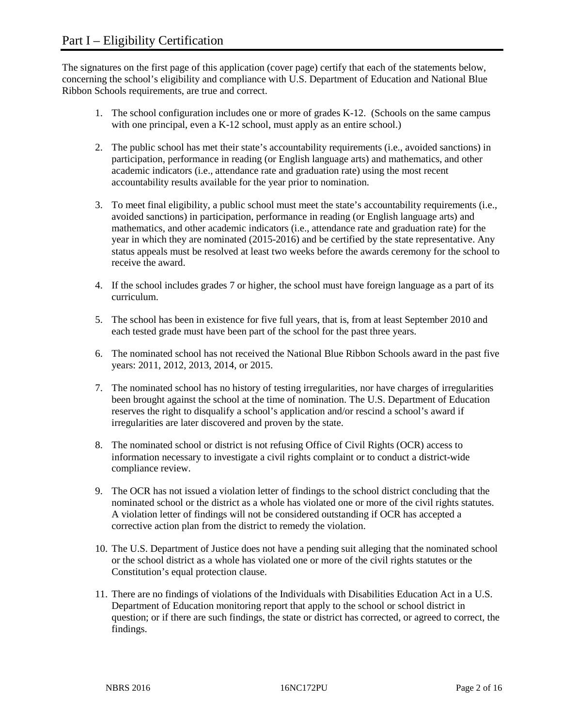The signatures on the first page of this application (cover page) certify that each of the statements below, concerning the school's eligibility and compliance with U.S. Department of Education and National Blue Ribbon Schools requirements, are true and correct.

- 1. The school configuration includes one or more of grades K-12. (Schools on the same campus with one principal, even a K-12 school, must apply as an entire school.)
- 2. The public school has met their state's accountability requirements (i.e., avoided sanctions) in participation, performance in reading (or English language arts) and mathematics, and other academic indicators (i.e., attendance rate and graduation rate) using the most recent accountability results available for the year prior to nomination.
- 3. To meet final eligibility, a public school must meet the state's accountability requirements (i.e., avoided sanctions) in participation, performance in reading (or English language arts) and mathematics, and other academic indicators (i.e., attendance rate and graduation rate) for the year in which they are nominated (2015-2016) and be certified by the state representative. Any status appeals must be resolved at least two weeks before the awards ceremony for the school to receive the award.
- 4. If the school includes grades 7 or higher, the school must have foreign language as a part of its curriculum.
- 5. The school has been in existence for five full years, that is, from at least September 2010 and each tested grade must have been part of the school for the past three years.
- 6. The nominated school has not received the National Blue Ribbon Schools award in the past five years: 2011, 2012, 2013, 2014, or 2015.
- 7. The nominated school has no history of testing irregularities, nor have charges of irregularities been brought against the school at the time of nomination. The U.S. Department of Education reserves the right to disqualify a school's application and/or rescind a school's award if irregularities are later discovered and proven by the state.
- 8. The nominated school or district is not refusing Office of Civil Rights (OCR) access to information necessary to investigate a civil rights complaint or to conduct a district-wide compliance review.
- 9. The OCR has not issued a violation letter of findings to the school district concluding that the nominated school or the district as a whole has violated one or more of the civil rights statutes. A violation letter of findings will not be considered outstanding if OCR has accepted a corrective action plan from the district to remedy the violation.
- 10. The U.S. Department of Justice does not have a pending suit alleging that the nominated school or the school district as a whole has violated one or more of the civil rights statutes or the Constitution's equal protection clause.
- 11. There are no findings of violations of the Individuals with Disabilities Education Act in a U.S. Department of Education monitoring report that apply to the school or school district in question; or if there are such findings, the state or district has corrected, or agreed to correct, the findings.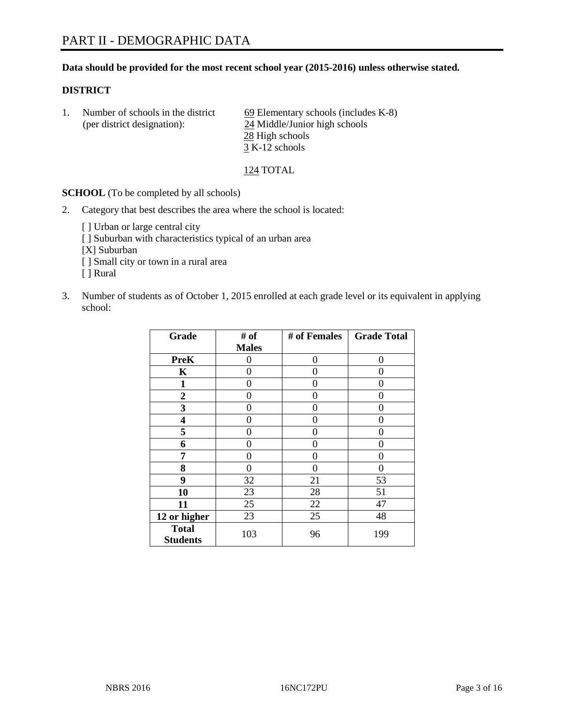## **Data should be provided for the most recent school year (2015-2016) unless otherwise stated.**

## **DISTRICT**

1. Number of schools in the district  $\frac{69}{9}$  Elementary schools (includes K-8) (per district designation): 24 Middle/Junior high schools 28 High schools  $\overline{3}$  K-12 schools

# 124 TOTAL

**SCHOOL** (To be completed by all schools)

- 2. Category that best describes the area where the school is located:
	- [] Urban or large central city [ ] Suburban with characteristics typical of an urban area [X] Suburban [ ] Small city or town in a rural area [ ] Rural
- 3. Number of students as of October 1, 2015 enrolled at each grade level or its equivalent in applying school:

| Grade                           | # of         | # of Females | <b>Grade Total</b> |
|---------------------------------|--------------|--------------|--------------------|
|                                 | <b>Males</b> |              |                    |
| <b>PreK</b>                     | 0            | 0            | 0                  |
| $\mathbf K$                     | 0            | 0            | 0                  |
| $\mathbf{1}$                    | 0            | 0            | 0                  |
| $\boldsymbol{2}$                | 0            | 0            | 0                  |
| 3                               | 0            | $\Omega$     | 0                  |
| 4                               | 0            | 0            | 0                  |
| 5                               | 0            | 0            | 0                  |
| 6                               | 0            | 0            | 0                  |
| 7                               | 0            | 0            | 0                  |
| 8                               | 0            | 0            | 0                  |
| 9                               | 32           | 21           | 53                 |
| 10                              | 23           | 28           | 51                 |
| 11                              | 25           | 22           | 47                 |
| 12 or higher                    | 23           | 25           | 48                 |
| <b>Total</b><br><b>Students</b> | 103          | 96           | 199                |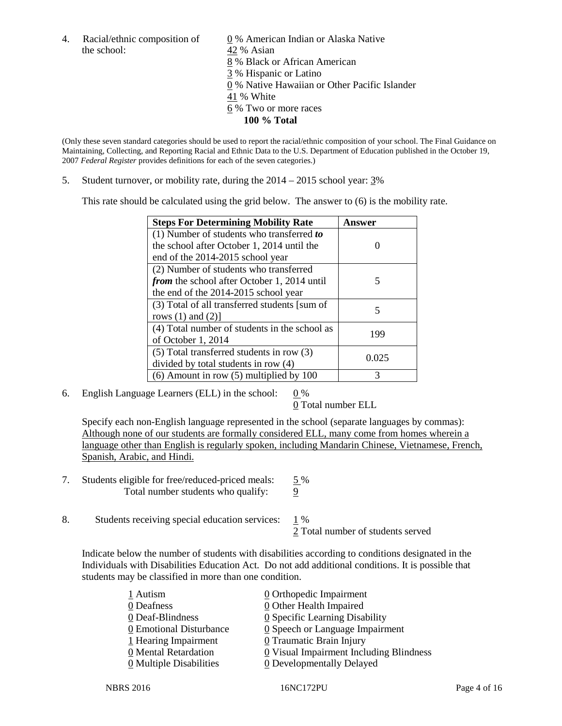the school: 42 % Asian

4. Racial/ethnic composition of  $\qquad \underline{0}$  % American Indian or Alaska Native 8 % Black or African American 3 % Hispanic or Latino 0 % Native Hawaiian or Other Pacific Islander 41 % White 6 % Two or more races **100 % Total**

(Only these seven standard categories should be used to report the racial/ethnic composition of your school. The Final Guidance on Maintaining, Collecting, and Reporting Racial and Ethnic Data to the U.S. Department of Education published in the October 19, 2007 *Federal Register* provides definitions for each of the seven categories.)

5. Student turnover, or mobility rate, during the  $2014 - 2015$  school year:  $3\%$ 

This rate should be calculated using the grid below. The answer to (6) is the mobility rate.

| <b>Steps For Determining Mobility Rate</b>         | Answer |  |
|----------------------------------------------------|--------|--|
| (1) Number of students who transferred to          |        |  |
| the school after October 1, 2014 until the         |        |  |
| end of the 2014-2015 school year                   |        |  |
| (2) Number of students who transferred             |        |  |
| <i>from</i> the school after October 1, 2014 until | 5      |  |
| the end of the 2014-2015 school year               |        |  |
| (3) Total of all transferred students [sum of      | 5      |  |
| rows $(1)$ and $(2)$ ]                             |        |  |
| (4) Total number of students in the school as      | 199    |  |
| of October 1, 2014                                 |        |  |
| (5) Total transferred students in row (3)          | 0.025  |  |
| divided by total students in row (4)               |        |  |
| $(6)$ Amount in row $(5)$ multiplied by 100        | 3      |  |

6. English Language Learners (ELL) in the school:  $0\%$ 

0 Total number ELL

Specify each non-English language represented in the school (separate languages by commas): Although none of our students are formally considered ELL, many come from homes wherein a language other than English is regularly spoken, including Mandarin Chinese, Vietnamese, French, Spanish, Arabic, and Hindi.

- 7. Students eligible for free/reduced-priced meals: 5 % Total number students who qualify: 9
- 8. Students receiving special education services: 1 %

2 Total number of students served

Indicate below the number of students with disabilities according to conditions designated in the Individuals with Disabilities Education Act. Do not add additional conditions. It is possible that students may be classified in more than one condition.

| 1 Autism                | $\underline{0}$ Orthopedic Impairment          |
|-------------------------|------------------------------------------------|
| 0 Deafness              | <b>0</b> Other Health Impaired                 |
| 0 Deaf-Blindness        | $\underline{0}$ Specific Learning Disability   |
| 0 Emotional Disturbance | $\underline{0}$ Speech or Language Impairment  |
| 1 Hearing Impairment    | <b>0</b> Traumatic Brain Injury                |
| 0 Mental Retardation    | <b>0</b> Visual Impairment Including Blindness |
| 0 Multiple Disabilities | 0 Developmentally Delayed                      |
|                         |                                                |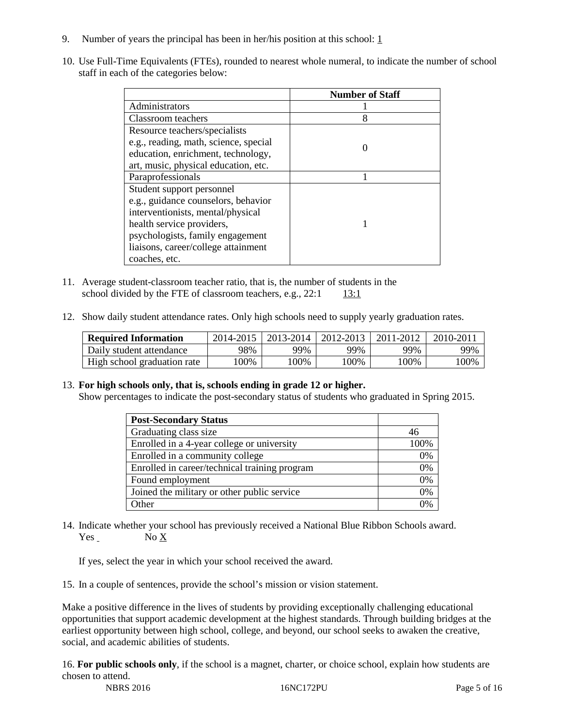- 9. Number of years the principal has been in her/his position at this school:  $1 \overline{1}$
- 10. Use Full-Time Equivalents (FTEs), rounded to nearest whole numeral, to indicate the number of school staff in each of the categories below:

|                                       | <b>Number of Staff</b> |
|---------------------------------------|------------------------|
| Administrators                        |                        |
| Classroom teachers                    | 8                      |
| Resource teachers/specialists         |                        |
| e.g., reading, math, science, special |                        |
| education, enrichment, technology,    |                        |
| art, music, physical education, etc.  |                        |
| Paraprofessionals                     |                        |
| Student support personnel             |                        |
| e.g., guidance counselors, behavior   |                        |
| interventionists, mental/physical     |                        |
| health service providers,             |                        |
| psychologists, family engagement      |                        |
| liaisons, career/college attainment   |                        |
| coaches, etc.                         |                        |

- 11. Average student-classroom teacher ratio, that is, the number of students in the school divided by the FTE of classroom teachers, e.g.,  $22:1$  13:1
- 12. Show daily student attendance rates. Only high schools need to supply yearly graduation rates.

| <b>Required Information</b> | 2014-2015 | 2013-2014 l | 2012-2013 | 2011-2012 | 2010-2011 |
|-----------------------------|-----------|-------------|-----------|-----------|-----------|
| Daily student attendance    | 98%       | 99%         | 99%       | 99%       | 99%       |
| High school graduation rate | 00%       | 00%         | $00\%$    | '00%      | 100%      |

13. **For high schools only, that is, schools ending in grade 12 or higher.** 

Show percentages to indicate the post-secondary status of students who graduated in Spring 2015.

| <b>Post-Secondary Status</b>                  |      |
|-----------------------------------------------|------|
| Graduating class size                         | 46   |
| Enrolled in a 4-year college or university    | 100% |
| Enrolled in a community college               | 0%   |
| Enrolled in career/technical training program | 0%   |
| Found employment                              | 0%   |
| Joined the military or other public service   | 0%   |
| Other                                         | 0%   |

14. Indicate whether your school has previously received a National Blue Ribbon Schools award. Yes No X

If yes, select the year in which your school received the award.

15. In a couple of sentences, provide the school's mission or vision statement.

Make a positive difference in the lives of students by providing exceptionally challenging educational opportunities that support academic development at the highest standards. Through building bridges at the earliest opportunity between high school, college, and beyond, our school seeks to awaken the creative, social, and academic abilities of students.

NBRS 2016 16NC172PU Page 5 of 16 16. **For public schools only**, if the school is a magnet, charter, or choice school, explain how students are chosen to attend.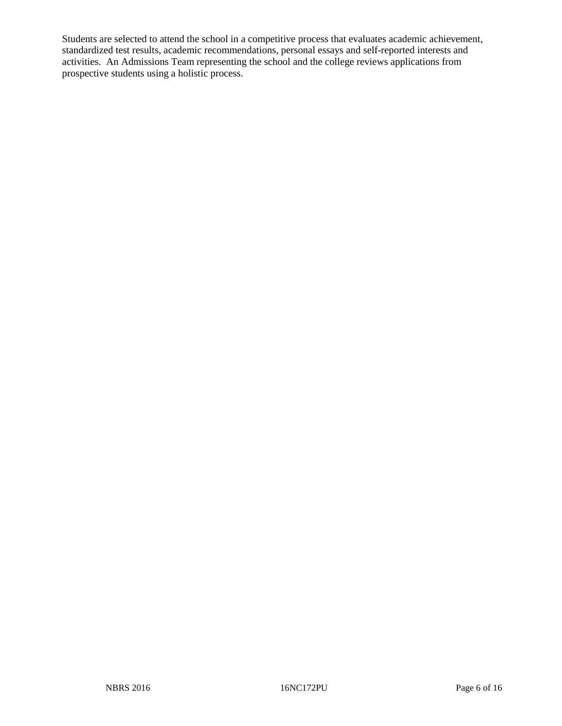Students are selected to attend the school in a competitive process that evaluates academic achievement, standardized test results, academic recommendations, personal essays and self-reported interests and activities. An Admissions Team representing the school and the college reviews applications from prospective students using a holistic process.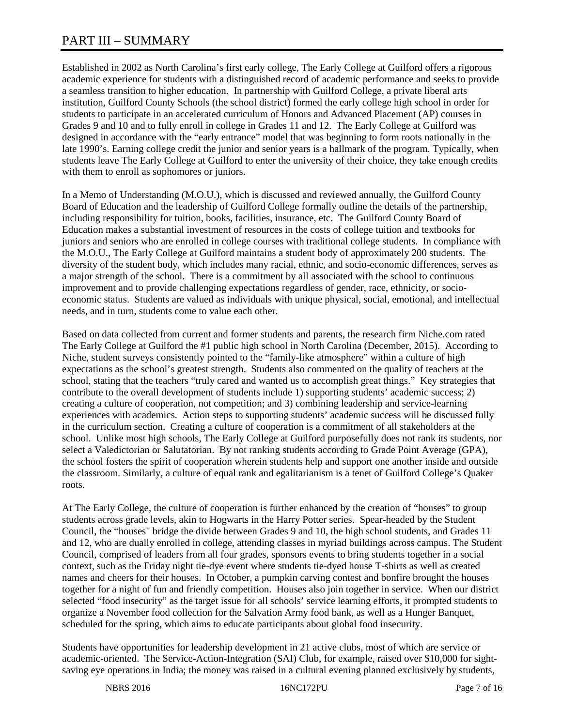# PART III – SUMMARY

Established in 2002 as North Carolina's first early college, The Early College at Guilford offers a rigorous academic experience for students with a distinguished record of academic performance and seeks to provide a seamless transition to higher education. In partnership with Guilford College, a private liberal arts institution, Guilford County Schools (the school district) formed the early college high school in order for students to participate in an accelerated curriculum of Honors and Advanced Placement (AP) courses in Grades 9 and 10 and to fully enroll in college in Grades 11 and 12. The Early College at Guilford was designed in accordance with the "early entrance" model that was beginning to form roots nationally in the late 1990's. Earning college credit the junior and senior years is a hallmark of the program. Typically, when students leave The Early College at Guilford to enter the university of their choice, they take enough credits with them to enroll as sophomores or juniors.

In a Memo of Understanding (M.O.U.), which is discussed and reviewed annually, the Guilford County Board of Education and the leadership of Guilford College formally outline the details of the partnership, including responsibility for tuition, books, facilities, insurance, etc. The Guilford County Board of Education makes a substantial investment of resources in the costs of college tuition and textbooks for juniors and seniors who are enrolled in college courses with traditional college students. In compliance with the M.O.U., The Early College at Guilford maintains a student body of approximately 200 students. The diversity of the student body, which includes many racial, ethnic, and socio-economic differences, serves as a major strength of the school. There is a commitment by all associated with the school to continuous improvement and to provide challenging expectations regardless of gender, race, ethnicity, or socioeconomic status. Students are valued as individuals with unique physical, social, emotional, and intellectual needs, and in turn, students come to value each other.

Based on data collected from current and former students and parents, the research firm Niche.com rated The Early College at Guilford the #1 public high school in North Carolina (December, 2015). According to Niche, student surveys consistently pointed to the "family-like atmosphere" within a culture of high expectations as the school's greatest strength. Students also commented on the quality of teachers at the school, stating that the teachers "truly cared and wanted us to accomplish great things." Key strategies that contribute to the overall development of students include 1) supporting students' academic success; 2) creating a culture of cooperation, not competition; and 3) combining leadership and service-learning experiences with academics. Action steps to supporting students' academic success will be discussed fully in the curriculum section. Creating a culture of cooperation is a commitment of all stakeholders at the school. Unlike most high schools, The Early College at Guilford purposefully does not rank its students, nor select a Valedictorian or Salutatorian. By not ranking students according to Grade Point Average (GPA), the school fosters the spirit of cooperation wherein students help and support one another inside and outside the classroom. Similarly, a culture of equal rank and egalitarianism is a tenet of Guilford College's Quaker roots.

At The Early College, the culture of cooperation is further enhanced by the creation of "houses" to group students across grade levels, akin to Hogwarts in the Harry Potter series. Spear-headed by the Student Council, the "houses" bridge the divide between Grades 9 and 10, the high school students, and Grades 11 and 12, who are dually enrolled in college, attending classes in myriad buildings across campus. The Student Council, comprised of leaders from all four grades, sponsors events to bring students together in a social context, such as the Friday night tie-dye event where students tie-dyed house T-shirts as well as created names and cheers for their houses. In October, a pumpkin carving contest and bonfire brought the houses together for a night of fun and friendly competition. Houses also join together in service. When our district selected "food insecurity" as the target issue for all schools' service learning efforts, it prompted students to organize a November food collection for the Salvation Army food bank, as well as a Hunger Banquet, scheduled for the spring, which aims to educate participants about global food insecurity.

Students have opportunities for leadership development in 21 active clubs, most of which are service or academic-oriented. The Service-Action-Integration (SAI) Club, for example, raised over \$10,000 for sightsaving eye operations in India; the money was raised in a cultural evening planned exclusively by students,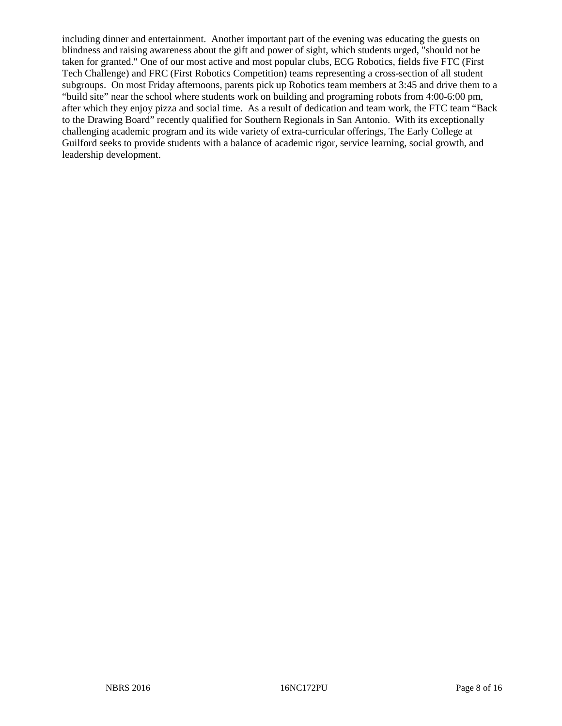including dinner and entertainment. Another important part of the evening was educating the guests on blindness and raising awareness about the gift and power of sight, which students urged, "should not be taken for granted." One of our most active and most popular clubs, ECG Robotics, fields five FTC (First Tech Challenge) and FRC (First Robotics Competition) teams representing a cross-section of all student subgroups. On most Friday afternoons, parents pick up Robotics team members at 3:45 and drive them to a "build site" near the school where students work on building and programing robots from 4:00-6:00 pm, after which they enjoy pizza and social time. As a result of dedication and team work, the FTC team "Back to the Drawing Board" recently qualified for Southern Regionals in San Antonio. With its exceptionally challenging academic program and its wide variety of extra-curricular offerings, The Early College at Guilford seeks to provide students with a balance of academic rigor, service learning, social growth, and leadership development.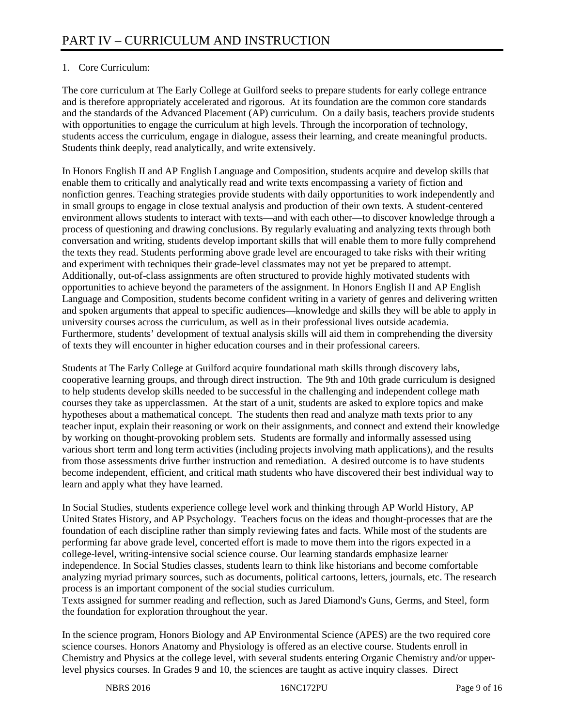# 1. Core Curriculum:

The core curriculum at The Early College at Guilford seeks to prepare students for early college entrance and is therefore appropriately accelerated and rigorous. At its foundation are the common core standards and the standards of the Advanced Placement (AP) curriculum. On a daily basis, teachers provide students with opportunities to engage the curriculum at high levels. Through the incorporation of technology, students access the curriculum, engage in dialogue, assess their learning, and create meaningful products. Students think deeply, read analytically, and write extensively.

In Honors English II and AP English Language and Composition, students acquire and develop skills that enable them to critically and analytically read and write texts encompassing a variety of fiction and nonfiction genres. Teaching strategies provide students with daily opportunities to work independently and in small groups to engage in close textual analysis and production of their own texts. A student-centered environment allows students to interact with texts—and with each other—to discover knowledge through a process of questioning and drawing conclusions. By regularly evaluating and analyzing texts through both conversation and writing, students develop important skills that will enable them to more fully comprehend the texts they read. Students performing above grade level are encouraged to take risks with their writing and experiment with techniques their grade-level classmates may not yet be prepared to attempt. Additionally, out-of-class assignments are often structured to provide highly motivated students with opportunities to achieve beyond the parameters of the assignment. In Honors English II and AP English Language and Composition, students become confident writing in a variety of genres and delivering written and spoken arguments that appeal to specific audiences—knowledge and skills they will be able to apply in university courses across the curriculum, as well as in their professional lives outside academia. Furthermore, students' development of textual analysis skills will aid them in comprehending the diversity of texts they will encounter in higher education courses and in their professional careers.

Students at The Early College at Guilford acquire foundational math skills through discovery labs, cooperative learning groups, and through direct instruction. The 9th and 10th grade curriculum is designed to help students develop skills needed to be successful in the challenging and independent college math courses they take as upperclassmen. At the start of a unit, students are asked to explore topics and make hypotheses about a mathematical concept. The students then read and analyze math texts prior to any teacher input, explain their reasoning or work on their assignments, and connect and extend their knowledge by working on thought-provoking problem sets. Students are formally and informally assessed using various short term and long term activities (including projects involving math applications), and the results from those assessments drive further instruction and remediation. A desired outcome is to have students become independent, efficient, and critical math students who have discovered their best individual way to learn and apply what they have learned.

In Social Studies, students experience college level work and thinking through AP World History, AP United States History, and AP Psychology. Teachers focus on the ideas and thought-processes that are the foundation of each discipline rather than simply reviewing fates and facts. While most of the students are performing far above grade level, concerted effort is made to move them into the rigors expected in a college-level, writing-intensive social science course. Our learning standards emphasize learner independence. In Social Studies classes, students learn to think like historians and become comfortable analyzing myriad primary sources, such as documents, political cartoons, letters, journals, etc. The research process is an important component of the social studies curriculum.

Texts assigned for summer reading and reflection, such as Jared Diamond's Guns, Germs, and Steel, form the foundation for exploration throughout the year.

In the science program, Honors Biology and AP Environmental Science (APES) are the two required core science courses. Honors Anatomy and Physiology is offered as an elective course. Students enroll in Chemistry and Physics at the college level, with several students entering Organic Chemistry and/or upperlevel physics courses. In Grades 9 and 10, the sciences are taught as active inquiry classes. Direct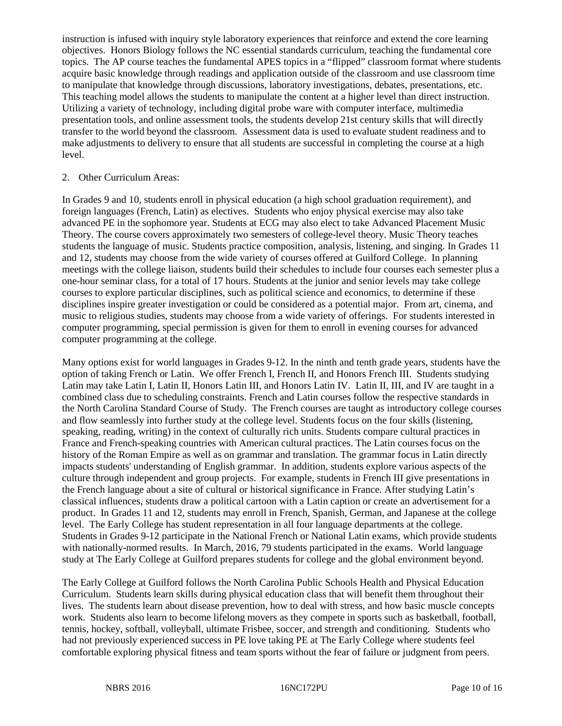instruction is infused with inquiry style laboratory experiences that reinforce and extend the core learning objectives. Honors Biology follows the NC essential standards curriculum, teaching the fundamental core topics. The AP course teaches the fundamental APES topics in a "flipped" classroom format where students acquire basic knowledge through readings and application outside of the classroom and use classroom time to manipulate that knowledge through discussions, laboratory investigations, debates, presentations, etc. This teaching model allows the students to manipulate the content at a higher level than direct instruction. Utilizing a variety of technology, including digital probe ware with computer interface, multimedia presentation tools, and online assessment tools, the students develop 21st century skills that will directly transfer to the world beyond the classroom. Assessment data is used to evaluate student readiness and to make adjustments to delivery to ensure that all students are successful in completing the course at a high level.

#### 2. Other Curriculum Areas:

In Grades 9 and 10, students enroll in physical education (a high school graduation requirement), and foreign languages (French, Latin) as electives. Students who enjoy physical exercise may also take advanced PE in the sophomore year. Students at ECG may also elect to take Advanced Placement Music Theory. The course covers approximately two semesters of college-level theory. Music Theory teaches students the language of music. Students practice composition, analysis, listening, and singing. In Grades 11 and 12, students may choose from the wide variety of courses offered at Guilford College. In planning meetings with the college liaison, students build their schedules to include four courses each semester plus a one-hour seminar class, for a total of 17 hours. Students at the junior and senior levels may take college courses to explore particular disciplines, such as political science and economics, to determine if these disciplines inspire greater investigation or could be considered as a potential major. From art, cinema, and music to religious studies, students may choose from a wide variety of offerings. For students interested in computer programming, special permission is given for them to enroll in evening courses for advanced computer programming at the college.

Many options exist for world languages in Grades 9-12. In the ninth and tenth grade years, students have the option of taking French or Latin. We offer French I, French II, and Honors French III. Students studying Latin may take Latin I, Latin II, Honors Latin III, and Honors Latin IV. Latin II, III, and IV are taught in a combined class due to scheduling constraints. French and Latin courses follow the respective standards in the North Carolina Standard Course of Study. The French courses are taught as introductory college courses and flow seamlessly into further study at the college level. Students focus on the four skills (listening, speaking, reading, writing) in the context of culturally rich units. Students compare cultural practices in France and French-speaking countries with American cultural practices. The Latin courses focus on the history of the Roman Empire as well as on grammar and translation. The grammar focus in Latin directly impacts students' understanding of English grammar. In addition, students explore various aspects of the culture through independent and group projects. For example, students in French III give presentations in the French language about a site of cultural or historical significance in France. After studying Latin's classical influences, students draw a political cartoon with a Latin caption or create an advertisement for a product. In Grades 11 and 12, students may enroll in French, Spanish, German, and Japanese at the college level. The Early College has student representation in all four language departments at the college. Students in Grades 9-12 participate in the National French or National Latin exams, which provide students with nationally-normed results. In March, 2016, 79 students participated in the exams. World language study at The Early College at Guilford prepares students for college and the global environment beyond.

The Early College at Guilford follows the North Carolina Public Schools Health and Physical Education Curriculum. Students learn skills during physical education class that will benefit them throughout their lives. The students learn about disease prevention, how to deal with stress, and how basic muscle concepts work. Students also learn to become lifelong movers as they compete in sports such as basketball, football, tennis, hockey, softball, volleyball, ultimate Frisbee, soccer, and strength and conditioning. Students who had not previously experienced success in PE love taking PE at The Early College where students feel comfortable exploring physical fitness and team sports without the fear of failure or judgment from peers.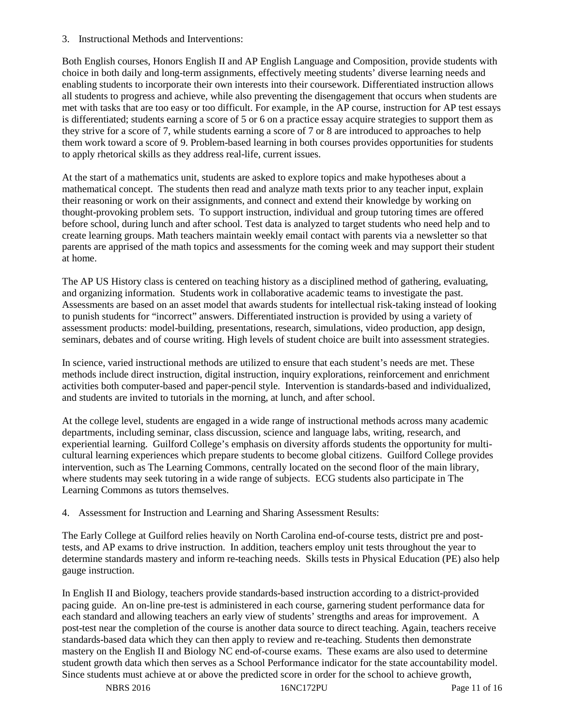3. Instructional Methods and Interventions:

Both English courses, Honors English II and AP English Language and Composition, provide students with choice in both daily and long-term assignments, effectively meeting students' diverse learning needs and enabling students to incorporate their own interests into their coursework. Differentiated instruction allows all students to progress and achieve, while also preventing the disengagement that occurs when students are met with tasks that are too easy or too difficult. For example, in the AP course, instruction for AP test essays is differentiated; students earning a score of 5 or 6 on a practice essay acquire strategies to support them as they strive for a score of 7, while students earning a score of 7 or 8 are introduced to approaches to help them work toward a score of 9. Problem-based learning in both courses provides opportunities for students to apply rhetorical skills as they address real-life, current issues.

At the start of a mathematics unit, students are asked to explore topics and make hypotheses about a mathematical concept. The students then read and analyze math texts prior to any teacher input, explain their reasoning or work on their assignments, and connect and extend their knowledge by working on thought-provoking problem sets. To support instruction, individual and group tutoring times are offered before school, during lunch and after school. Test data is analyzed to target students who need help and to create learning groups. Math teachers maintain weekly email contact with parents via a newsletter so that parents are apprised of the math topics and assessments for the coming week and may support their student at home.

The AP US History class is centered on teaching history as a disciplined method of gathering, evaluating, and organizing information. Students work in collaborative academic teams to investigate the past. Assessments are based on an asset model that awards students for intellectual risk-taking instead of looking to punish students for "incorrect" answers. Differentiated instruction is provided by using a variety of assessment products: model-building, presentations, research, simulations, video production, app design, seminars, debates and of course writing. High levels of student choice are built into assessment strategies.

In science, varied instructional methods are utilized to ensure that each student's needs are met. These methods include direct instruction, digital instruction, inquiry explorations, reinforcement and enrichment activities both computer-based and paper-pencil style. Intervention is standards-based and individualized, and students are invited to tutorials in the morning, at lunch, and after school.

At the college level, students are engaged in a wide range of instructional methods across many academic departments, including seminar, class discussion, science and language labs, writing, research, and experiential learning. Guilford College's emphasis on diversity affords students the opportunity for multicultural learning experiences which prepare students to become global citizens. Guilford College provides intervention, such as The Learning Commons, centrally located on the second floor of the main library, where students may seek tutoring in a wide range of subjects. ECG students also participate in The Learning Commons as tutors themselves.

4. Assessment for Instruction and Learning and Sharing Assessment Results:

The Early College at Guilford relies heavily on North Carolina end-of-course tests, district pre and posttests, and AP exams to drive instruction. In addition, teachers employ unit tests throughout the year to determine standards mastery and inform re-teaching needs. Skills tests in Physical Education (PE) also help gauge instruction.

In English II and Biology, teachers provide standards-based instruction according to a district-provided pacing guide. An on-line pre-test is administered in each course, garnering student performance data for each standard and allowing teachers an early view of students' strengths and areas for improvement. A post-test near the completion of the course is another data source to direct teaching. Again, teachers receive standards-based data which they can then apply to review and re-teaching. Students then demonstrate mastery on the English II and Biology NC end-of-course exams. These exams are also used to determine student growth data which then serves as a School Performance indicator for the state accountability model. Since students must achieve at or above the predicted score in order for the school to achieve growth,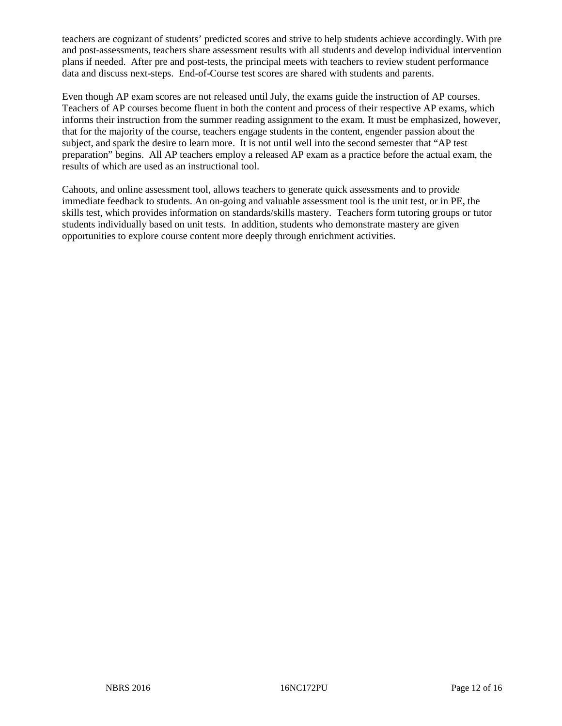teachers are cognizant of students' predicted scores and strive to help students achieve accordingly. With pre and post-assessments, teachers share assessment results with all students and develop individual intervention plans if needed. After pre and post-tests, the principal meets with teachers to review student performance data and discuss next-steps. End-of-Course test scores are shared with students and parents.

Even though AP exam scores are not released until July, the exams guide the instruction of AP courses. Teachers of AP courses become fluent in both the content and process of their respective AP exams, which informs their instruction from the summer reading assignment to the exam. It must be emphasized, however, that for the majority of the course, teachers engage students in the content, engender passion about the subject, and spark the desire to learn more. It is not until well into the second semester that "AP test preparation" begins. All AP teachers employ a released AP exam as a practice before the actual exam, the results of which are used as an instructional tool.

Cahoots, and online assessment tool, allows teachers to generate quick assessments and to provide immediate feedback to students. An on-going and valuable assessment tool is the unit test, or in PE, the skills test, which provides information on standards/skills mastery. Teachers form tutoring groups or tutor students individually based on unit tests. In addition, students who demonstrate mastery are given opportunities to explore course content more deeply through enrichment activities.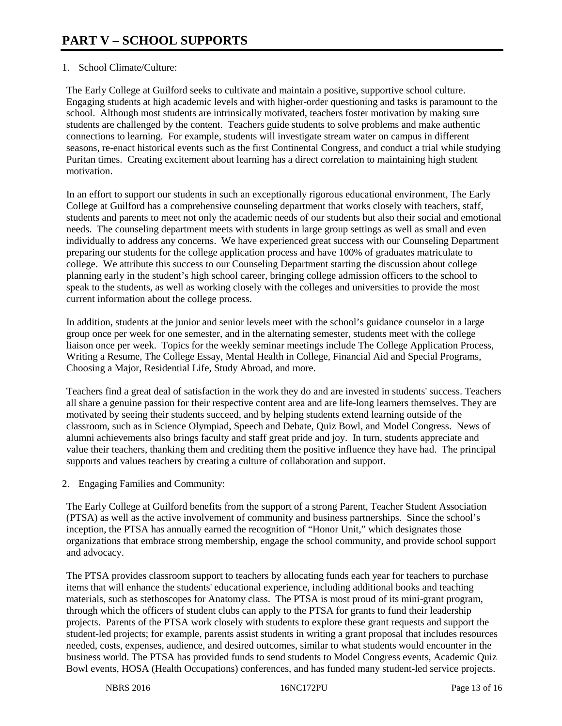# 1. School Climate/Culture:

The Early College at Guilford seeks to cultivate and maintain a positive, supportive school culture. Engaging students at high academic levels and with higher-order questioning and tasks is paramount to the school. Although most students are intrinsically motivated, teachers foster motivation by making sure students are challenged by the content. Teachers guide students to solve problems and make authentic connections to learning. For example, students will investigate stream water on campus in different seasons, re-enact historical events such as the first Continental Congress, and conduct a trial while studying Puritan times. Creating excitement about learning has a direct correlation to maintaining high student motivation.

In an effort to support our students in such an exceptionally rigorous educational environment, The Early College at Guilford has a comprehensive counseling department that works closely with teachers, staff, students and parents to meet not only the academic needs of our students but also their social and emotional needs. The counseling department meets with students in large group settings as well as small and even individually to address any concerns. We have experienced great success with our Counseling Department preparing our students for the college application process and have 100% of graduates matriculate to college. We attribute this success to our Counseling Department starting the discussion about college planning early in the student's high school career, bringing college admission officers to the school to speak to the students, as well as working closely with the colleges and universities to provide the most current information about the college process.

In addition, students at the junior and senior levels meet with the school's guidance counselor in a large group once per week for one semester, and in the alternating semester, students meet with the college liaison once per week. Topics for the weekly seminar meetings include The College Application Process, Writing a Resume, The College Essay, Mental Health in College, Financial Aid and Special Programs, Choosing a Major, Residential Life, Study Abroad, and more.

Teachers find a great deal of satisfaction in the work they do and are invested in students' success. Teachers all share a genuine passion for their respective content area and are life-long learners themselves. They are motivated by seeing their students succeed, and by helping students extend learning outside of the classroom, such as in Science Olympiad, Speech and Debate, Quiz Bowl, and Model Congress. News of alumni achievements also brings faculty and staff great pride and joy. In turn, students appreciate and value their teachers, thanking them and crediting them the positive influence they have had. The principal supports and values teachers by creating a culture of collaboration and support.

2. Engaging Families and Community:

The Early College at Guilford benefits from the support of a strong Parent, Teacher Student Association (PTSA) as well as the active involvement of community and business partnerships. Since the school's inception, the PTSA has annually earned the recognition of "Honor Unit," which designates those organizations that embrace strong membership, engage the school community, and provide school support and advocacy.

The PTSA provides classroom support to teachers by allocating funds each year for teachers to purchase items that will enhance the students' educational experience, including additional books and teaching materials, such as stethoscopes for Anatomy class. The PTSA is most proud of its mini-grant program, through which the officers of student clubs can apply to the PTSA for grants to fund their leadership projects. Parents of the PTSA work closely with students to explore these grant requests and support the student-led projects; for example, parents assist students in writing a grant proposal that includes resources needed, costs, expenses, audience, and desired outcomes, similar to what students would encounter in the business world. The PTSA has provided funds to send students to Model Congress events, Academic Quiz Bowl events, HOSA (Health Occupations) conferences, and has funded many student-led service projects.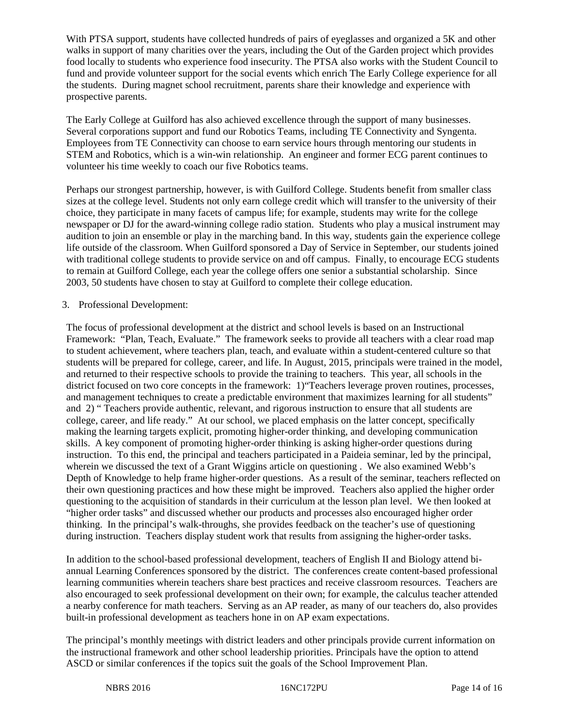With PTSA support, students have collected hundreds of pairs of eyeglasses and organized a 5K and other walks in support of many charities over the years, including the Out of the Garden project which provides food locally to students who experience food insecurity. The PTSA also works with the Student Council to fund and provide volunteer support for the social events which enrich The Early College experience for all the students. During magnet school recruitment, parents share their knowledge and experience with prospective parents.

The Early College at Guilford has also achieved excellence through the support of many businesses. Several corporations support and fund our Robotics Teams, including TE Connectivity and Syngenta. Employees from TE Connectivity can choose to earn service hours through mentoring our students in STEM and Robotics, which is a win-win relationship. An engineer and former ECG parent continues to volunteer his time weekly to coach our five Robotics teams.

Perhaps our strongest partnership, however, is with Guilford College. Students benefit from smaller class sizes at the college level. Students not only earn college credit which will transfer to the university of their choice, they participate in many facets of campus life; for example, students may write for the college newspaper or DJ for the award-winning college radio station. Students who play a musical instrument may audition to join an ensemble or play in the marching band. In this way, students gain the experience college life outside of the classroom. When Guilford sponsored a Day of Service in September, our students joined with traditional college students to provide service on and off campus. Finally, to encourage ECG students to remain at Guilford College, each year the college offers one senior a substantial scholarship. Since 2003, 50 students have chosen to stay at Guilford to complete their college education.

# 3. Professional Development:

The focus of professional development at the district and school levels is based on an Instructional Framework: "Plan, Teach, Evaluate." The framework seeks to provide all teachers with a clear road map to student achievement, where teachers plan, teach, and evaluate within a student-centered culture so that students will be prepared for college, career, and life. In August, 2015, principals were trained in the model, and returned to their respective schools to provide the training to teachers. This year, all schools in the district focused on two core concepts in the framework: 1)"Teachers leverage proven routines, processes, and management techniques to create a predictable environment that maximizes learning for all students" and 2) " Teachers provide authentic, relevant, and rigorous instruction to ensure that all students are college, career, and life ready." At our school, we placed emphasis on the latter concept, specifically making the learning targets explicit, promoting higher-order thinking, and developing communication skills. A key component of promoting higher-order thinking is asking higher-order questions during instruction. To this end, the principal and teachers participated in a Paideia seminar, led by the principal, wherein we discussed the text of a Grant Wiggins article on questioning . We also examined Webb's Depth of Knowledge to help frame higher-order questions. As a result of the seminar, teachers reflected on their own questioning practices and how these might be improved. Teachers also applied the higher order questioning to the acquisition of standards in their curriculum at the lesson plan level. We then looked at "higher order tasks" and discussed whether our products and processes also encouraged higher order thinking. In the principal's walk-throughs, she provides feedback on the teacher's use of questioning during instruction. Teachers display student work that results from assigning the higher-order tasks.

In addition to the school-based professional development, teachers of English II and Biology attend biannual Learning Conferences sponsored by the district. The conferences create content-based professional learning communities wherein teachers share best practices and receive classroom resources. Teachers are also encouraged to seek professional development on their own; for example, the calculus teacher attended a nearby conference for math teachers. Serving as an AP reader, as many of our teachers do, also provides built-in professional development as teachers hone in on AP exam expectations.

The principal's monthly meetings with district leaders and other principals provide current information on the instructional framework and other school leadership priorities. Principals have the option to attend ASCD or similar conferences if the topics suit the goals of the School Improvement Plan.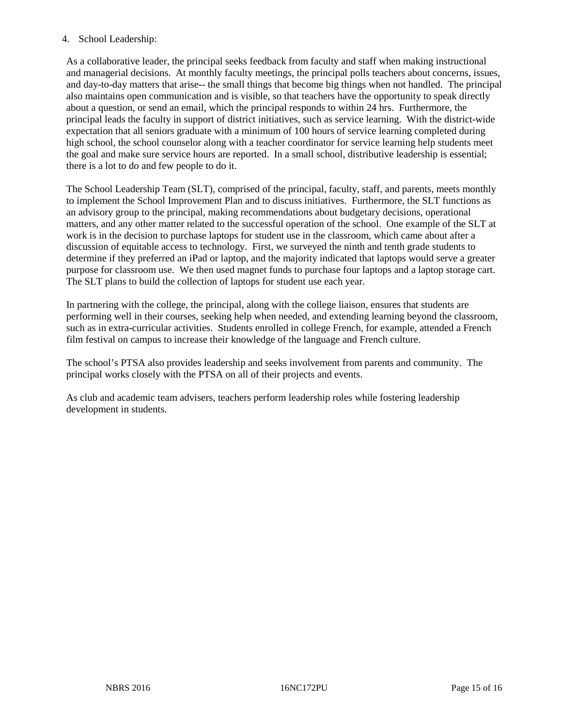# 4. School Leadership:

As a collaborative leader, the principal seeks feedback from faculty and staff when making instructional and managerial decisions. At monthly faculty meetings, the principal polls teachers about concerns, issues, and day-to-day matters that arise-- the small things that become big things when not handled. The principal also maintains open communication and is visible, so that teachers have the opportunity to speak directly about a question, or send an email, which the principal responds to within 24 hrs. Furthermore, the principal leads the faculty in support of district initiatives, such as service learning. With the district-wide expectation that all seniors graduate with a minimum of 100 hours of service learning completed during high school, the school counselor along with a teacher coordinator for service learning help students meet the goal and make sure service hours are reported. In a small school, distributive leadership is essential; there is a lot to do and few people to do it.

The School Leadership Team (SLT), comprised of the principal, faculty, staff, and parents, meets monthly to implement the School Improvement Plan and to discuss initiatives. Furthermore, the SLT functions as an advisory group to the principal, making recommendations about budgetary decisions, operational matters, and any other matter related to the successful operation of the school. One example of the SLT at work is in the decision to purchase laptops for student use in the classroom, which came about after a discussion of equitable access to technology. First, we surveyed the ninth and tenth grade students to determine if they preferred an iPad or laptop, and the majority indicated that laptops would serve a greater purpose for classroom use. We then used magnet funds to purchase four laptops and a laptop storage cart. The SLT plans to build the collection of laptops for student use each year.

In partnering with the college, the principal, along with the college liaison, ensures that students are performing well in their courses, seeking help when needed, and extending learning beyond the classroom, such as in extra-curricular activities. Students enrolled in college French, for example, attended a French film festival on campus to increase their knowledge of the language and French culture.

The school's PTSA also provides leadership and seeks involvement from parents and community. The principal works closely with the PTSA on all of their projects and events.

As club and academic team advisers, teachers perform leadership roles while fostering leadership development in students.